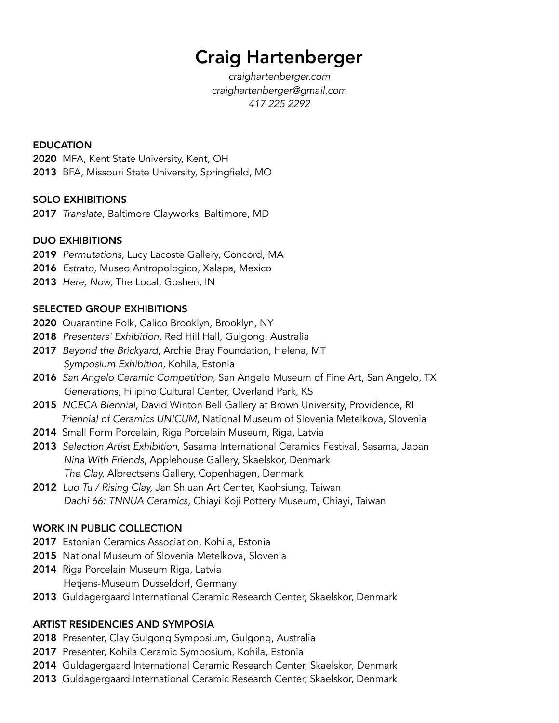# Craig Hartenberger

*[craighartenberger.com](http://craighartenberger.com)  [craighartenberger@gmail.com](mailto:craighartenberger@gmail.com) 417 225 2292* 

### EDUCATION

- 2020 MFA, Kent State University, Kent, OH
- 2013 BFA, Missouri State University, Springfield, MO

### SOLO EXHIBITIONS

2017 *Translate,* Baltimore Clayworks, Baltimore, MD

### DUO EXHIBITIONS

- 2019 *Permutations,* Lucy Lacoste Gallery, Concord, MA
- 2016 *Estrato*, Museo Antropologico, Xalapa, Mexico
- 2013 *Here, Now,* The Local, Goshen, IN

### SELECTED GROUP EXHIBITIONS

- 2020 Quarantine Folk, Calico Brooklyn, Brooklyn, NY
- 2018 *Presenters' Exhibition,* Red Hill Hall, Gulgong, Australia
- 2017 *Beyond the Brickyard*, Archie Bray Foundation, Helena, MT *Symposium Exhibition*, Kohila, Estonia
- 2016 *San Angelo Ceramic Competition*, San Angelo Museum of Fine Art, San Angelo, TX *Generations*, Filipino Cultural Center, Overland Park, KS
- 2015 *NCECA Biennial*, David Winton Bell Gallery at Brown University, Providence, RI *Triennial of Ceramics UNICUM,* National Museum of Slovenia Metelkova, Slovenia
- 2014 Small Form Porcelain, Riga Porcelain Museum, Riga, Latvia
- 2013 *Selection Artist Exhibition*, Sasama International Ceramics Festival, Sasama, Japan *Nina With Friends*, Applehouse Gallery, Skaelskor, Denmark *The Clay,* Albrectsens Gallery, Copenhagen, Denmark
- 2012 *Luo Tu / Rising Clay,* Jan Shiuan Art Center, Kaohsiung, Taiwan *Dachi 66: TNNUA Ceramics*, Chiayi Koji Pottery Museum, Chiayi, Taiwan

## WORK IN PUBLIC COLLECTION

- 2017 Estonian Ceramics Association, Kohila, Estonia
- 2015 National Museum of Slovenia Metelkova, Slovenia
- 2014 Riga Porcelain Museum Riga, Latvia Hetjens-Museum Dusseldorf, Germany
- 2013 Guldagergaard International Ceramic Research Center, Skaelskor, Denmark

## ARTIST RESIDENCIES AND SYMPOSIA

- 2018 Presenter, Clay Gulgong Symposium, Gulgong, Australia
- 2017 Presenter, Kohila Ceramic Symposium, Kohila, Estonia
- 2014 Guldagergaard International Ceramic Research Center, Skaelskor, Denmark
- 2013 Guldagergaard International Ceramic Research Center, Skaelskor, Denmark